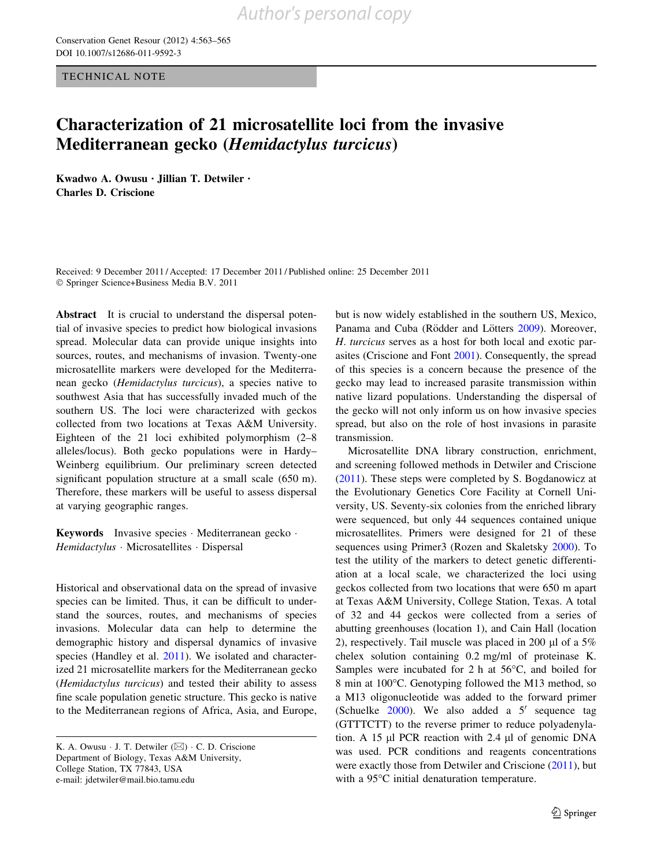TECHNICAL NOTE

## Characterization of 21 microsatellite loci from the invasive Mediterranean gecko (Hemidactylus turcicus)

Kwadwo A. Owusu • Jillian T. Detwiler • Charles D. Criscione

Received: 9 December 2011 / Accepted: 17 December 2011 / Published online: 25 December 2011 - Springer Science+Business Media B.V. 2011

Abstract It is crucial to understand the dispersal potential of invasive species to predict how biological invasions spread. Molecular data can provide unique insights into sources, routes, and mechanisms of invasion. Twenty-one microsatellite markers were developed for the Mediterranean gecko (Hemidactylus turcicus), a species native to southwest Asia that has successfully invaded much of the southern US. The loci were characterized with geckos collected from two locations at Texas A&M University. Eighteen of the 21 loci exhibited polymorphism (2–8 alleles/locus). Both gecko populations were in Hardy– Weinberg equilibrium. Our preliminary screen detected significant population structure at a small scale (650 m). Therefore, these markers will be useful to assess dispersal at varying geographic ranges.

Keywords Invasive species · Mediterranean gecko · Hemidactylus · Microsatellites · Dispersal

Historical and observational data on the spread of invasive species can be limited. Thus, it can be difficult to understand the sources, routes, and mechanisms of species invasions. Molecular data can help to determine the demographic history and dispersal dynamics of invasive species (Handley et al. [2011\)](#page-2-0). We isolated and characterized 21 microsatellite markers for the Mediterranean gecko (Hemidactylus turcicus) and tested their ability to assess fine scale population genetic structure. This gecko is native to the Mediterranean regions of Africa, Asia, and Europe,

but is now widely established in the southern US, Mexico, Panama and Cuba (Rödder and Lötters [2009\)](#page-2-0). Moreover, H. turcicus serves as a host for both local and exotic parasites (Criscione and Font [2001](#page-2-0)). Consequently, the spread of this species is a concern because the presence of the gecko may lead to increased parasite transmission within native lizard populations. Understanding the dispersal of the gecko will not only inform us on how invasive species spread, but also on the role of host invasions in parasite transmission.

Microsatellite DNA library construction, enrichment, and screening followed methods in Detwiler and Criscione [\(2011](#page-2-0)). These steps were completed by S. Bogdanowicz at the Evolutionary Genetics Core Facility at Cornell University, US. Seventy-six colonies from the enriched library were sequenced, but only 44 sequences contained unique microsatellites. Primers were designed for 21 of these sequences using Primer3 (Rozen and Skaletsky [2000\)](#page-2-0). To test the utility of the markers to detect genetic differentiation at a local scale, we characterized the loci using geckos collected from two locations that were 650 m apart at Texas A&M University, College Station, Texas. A total of 32 and 44 geckos were collected from a series of abutting greenhouses (location 1), and Cain Hall (location 2), respectively. Tail muscle was placed in 200  $\mu$ l of a 5% chelex solution containing 0.2 mg/ml of proteinase K. Samples were incubated for 2 h at  $56^{\circ}$ C, and boiled for 8 min at 100°C. Genotyping followed the M13 method, so a M13 oligonucleotide was added to the forward primer (Schuelke  $2000$ ). We also added a  $5'$  sequence tag (GTTTCTT) to the reverse primer to reduce polyadenylation. A 15  $\mu$ l PCR reaction with 2.4  $\mu$ l of genomic DNA was used. PCR conditions and reagents concentrations were exactly those from Detwiler and Criscione [\(2011](#page-2-0)), but with a 95°C initial denaturation temperature.

K. A. Owusu  $\cdot$  J. T. Detwiler ( $\boxtimes$ )  $\cdot$  C. D. Criscione Department of Biology, Texas A&M University, College Station, TX 77843, USA e-mail: jdetwiler@mail.bio.tamu.edu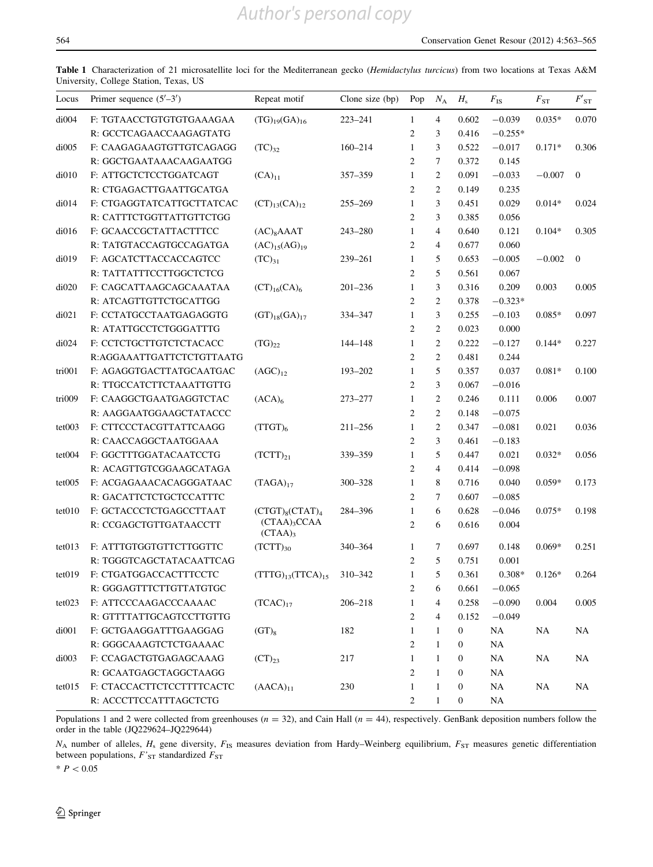<span id="page-1-0"></span>Table 1 Characterization of 21 microsatellite loci for the Mediterranean gecko (Hemidactylus turcicus) from two locations at Texas A&M University, College Station, Texas, US

| Locus  | Primer sequence $(5'–3')$ | Repeat motif                     | Clone size $(bp)$ | Pop            | $N_{\rm A}$    | $H_{\rm s}$      | $F_{\rm IS}$ | $F_{ST}$  | $F{'}_{\mathrm{ST}}$ |
|--------|---------------------------|----------------------------------|-------------------|----------------|----------------|------------------|--------------|-----------|----------------------|
| di004  | F: TGTAACCTGTGTGTGAAAGAA  | $(TG)_{19}(GA)_{16}$             | $223 - 241$       | 1              | $\overline{4}$ | 0.602            | $-0.039$     | $0.035*$  | 0.070                |
|        | R: GCCTCAGAACCAAGAGTATG   |                                  |                   | $\overline{2}$ | 3              | 0.416            | $-0.255*$    |           |                      |
| di005  | F: CAAGAGAAGTGTTGTCAGAGG  | $(TC)_{32}$                      | $160 - 214$       | $\mathbf{1}$   | 3              | 0.522            | $-0.017$     | $0.171*$  | 0.306                |
|        | R: GGCTGAATAAACAAGAATGG   |                                  |                   | $\overline{c}$ | $\tau$         | 0.372            | 0.145        |           |                      |
| di010  | F: ATTGCTCTCCTGGATCAGT    | $(CA)_{11}$                      | 357-359           | $\mathbf{1}$   | $\overline{2}$ | 0.091            | $-0.033$     | $-0.007$  | $\mathbf{0}$         |
|        | R: CTGAGACTTGAATTGCATGA   |                                  |                   | $\overline{c}$ | $\overline{2}$ | 0.149            | 0.235        |           |                      |
| di014  | F: CTGAGGTATCATTGCTTATCAC | $(CT)_{13}(CA)_{12}$             | 255-269           | $\mathbf{1}$   | 3              | 0.451            | 0.029        | $0.014*$  | 0.024                |
|        | R: CATTTCTGGTTATTGTTCTGG  |                                  |                   | $\overline{c}$ | 3              | 0.385            | 0.056        |           |                      |
| di016  | F: GCAACCGCTATTACTTTCC    | $(AC)_{8}A AAT$                  | 243-280           | $\mathbf{1}$   | $\overline{4}$ | 0.640            | 0.121        | $0.104*$  | 0.305                |
|        | R: TATGTACCAGTGCCAGATGA   | $(AC)_{15}(AG)_{19}$             |                   | $\overline{c}$ | $\overline{4}$ | 0.677            | 0.060        |           |                      |
| di019  | F: AGCATCTTACCACCAGTCC    | $(TC)_{31}$                      | 239-261           | $\mathbf{1}$   | 5              | 0.653            | $-0.005$     | $-0.002$  | $\boldsymbol{0}$     |
|        | R: TATTATTTCCTTGGCTCTCG   |                                  |                   | $\overline{2}$ | 5              | 0.561            | 0.067        |           |                      |
| di020  | F: CAGCATTAAGCAGCAAATAA   | $(CT)_{16}(CA)_{6}$              | $201 - 236$       | $\mathbf{1}$   | 3              | 0.316            | 0.209        | 0.003     | 0.005                |
|        | R: ATCAGTTGTTCTGCATTGG    |                                  |                   | $\overline{2}$ | $\overline{2}$ | 0.378            | $-0.323*$    |           |                      |
| di021  | F: CCTATGCCTAATGAGAGGTG   | $(GT)_{18}(GA)_{17}$             | 334-347           | $\mathbf{1}$   | 3              | 0.255            | $-0.103$     | $0.085*$  | 0.097                |
|        | R: ATATTGCCTCTGGGATTTG    |                                  |                   | $\overline{c}$ | $\overline{c}$ | 0.023            | 0.000        |           |                      |
| di024  | F: CCTCTGCTTGTCTCTACACC   | $(TG)_{22}$                      | 144-148           | $\mathbf{1}$   | $\overline{2}$ | 0.222            | $-0.127$     | $0.144*$  | 0.227                |
|        | R:AGGAAATTGATTCTCTGTTAATG |                                  |                   | $\overline{c}$ | 2              | 0.481            | 0.244        |           |                      |
| tri001 | F: AGAGGTGACTTATGCAATGAC  | $(AGC)_{12}$                     | 193-202           | $\mathbf{1}$   | 5              | 0.357            | 0.037        | $0.081*$  | 0.100                |
|        | R: TTGCCATCTTCTAAATTGTTG  |                                  |                   | $\overline{c}$ | 3              | 0.067            | $-0.016$     |           |                      |
| tri009 | F: CAAGGCTGAATGAGGTCTAC   | (ACA) <sub>6</sub>               | 273-277           | $\mathbf{1}$   | $\overline{2}$ | 0.246            | 0.111        | 0.006     | 0.007                |
|        | R: AAGGAATGGAAGCTATACCC   |                                  |                   | $\overline{2}$ | $\overline{2}$ | 0.148            | $-0.075$     |           |                      |
| tet003 | F: CTTCCCTACGTTATTCAAGG   | $(TTGT)_6$                       | $211 - 256$       | $\mathbf{1}$   | 2              | 0.347            | $-0.081$     | 0.021     | 0.036                |
|        | R: CAACCAGGCTAATGGAAA     |                                  |                   | $\mathfrak{2}$ | 3              | 0.461            | $-0.183$     |           |                      |
| tet004 | F: GGCTTTGGATACAATCCTG    | $(TCTT)_{21}$                    | 339-359           | $\mathbf{1}$   | 5              | 0.447            | 0.021        | $0.032*$  | 0.056                |
|        | R: ACAGTTGTCGGAAGCATAGA   |                                  |                   | $\overline{2}$ | $\overline{4}$ | 0.414            | $-0.098$     |           |                      |
| tet005 | F: ACGAGAAACACAGGGATAAC   | $(TAGA)_{17}$                    | 300-328           | $\mathbf{1}$   | 8              | 0.716            | 0.040        | $0.059*$  | 0.173                |
|        | R: GACATTCTCTGCTCCATTTC   |                                  |                   | $\overline{2}$ | $\tau$         | 0.607            | $-0.085$     |           |                      |
| tet010 | F: GCTACCCTCTGAGCCTTAAT   | $(CTGT)_{8}(CTAT)_{4}$           | 284-396           | $\mathbf{1}$   | 6              | 0.628            | $-0.046$     | $0.075*$  | 0.198                |
|        | R: CCGAGCTGTTGATAACCTT    | $(CTAA)_{3}CCAA$<br>(CTAA)       |                   | $\overline{2}$ | 6              | 0.616            | 0.004        |           |                      |
| tet013 | F: ATTTGTGGTGTTCTTGGTTC   | $(TCTT)_{30}$                    | 340-364           | 1              | 7              | 0.697            | 0.148        | $0.069*$  | 0.251                |
|        | R: TGGGTCAGCTATACAATTCAG  |                                  |                   | $\overline{2}$ | 5              | 0.751            | 0.001        |           |                      |
| tet019 | F: CTGATGGACCACTTTCCTC    | $(TTTG)_{13}(TTCA)_{15}$ 310-342 |                   | $\mathbf{1}$   | 5              | 0.361            | $0.308*$     | $0.126*$  | 0.264                |
|        | R: GGGAGTTTCTTGTTATGTGC   |                                  |                   | 2              | 6              | 0.661            | $-0.065$     |           |                      |
| tet023 | F: ATTCCCAAGACCCAAAAC     | $(TCAC)_{17}$                    | 206-218           | 1              | 4              | 0.258            | $-0.090$     | 0.004     | 0.005                |
|        | R: GTTTTATTGCAGTCCTTGTTG  |                                  |                   | $\overline{c}$ | 4              | 0.152            | $-0.049$     |           |                      |
| di001  | F: GCTGAAGGATTTGAAGGAG    | $(GT)_8$                         | 182               | $\mathbf{1}$   | $\mathbf{1}$   | 0                | <b>NA</b>    | NA        | NA                   |
|        | R: GGGCAAAGTCTCTGAAAAC    |                                  |                   | 2              | 1              | 0                | NA           |           |                      |
| di003  | F: CCAGACTGTGAGAGCAAAG    | $(CT)_{23}$                      | 217               | $\mathbf{1}$   | 1              | 0                | <b>NA</b>    | NA        | NA                   |
|        | R: GCAATGAGCTAGGCTAAGG    |                                  |                   | $\overline{2}$ | $\mathbf{1}$   | 0                | <b>NA</b>    |           |                      |
| tet015 | F: CTACCACTTCTCCTTTTCACTC | $(AACA)_{11}$                    | 230               | 1              | $\mathbf{1}$   | 0                | <b>NA</b>    | <b>NA</b> | NA                   |
|        | R: ACCCTTCCATTTAGCTCTG    |                                  |                   | 2              | $\mathbf{1}$   | $\boldsymbol{0}$ | NA           |           |                      |

Populations 1 and 2 were collected from greenhouses ( $n = 32$ ), and Cain Hall ( $n = 44$ ), respectively. GenBank deposition numbers follow the order in the table (JQ229624–JQ229644)

 $N_A$  number of alleles,  $H_s$  gene diversity,  $F_{IS}$  measures deviation from Hardy–Weinberg equilibrium,  $F_{ST}$  measures genetic differentiation between populations,  $F'_{ST}$  standardized  $F_{ST}$ 

 $* P < 0.05$